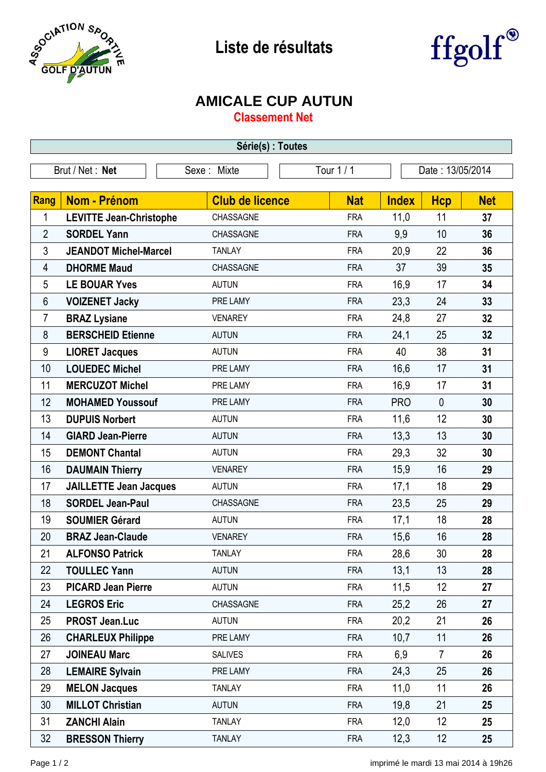

## **Liste de résultats**



## **AMICALE CUP AUTUN**

**Classement Net**

| Série(s) : Toutes |                                |                        |            |              |                  |            |  |  |  |  |
|-------------------|--------------------------------|------------------------|------------|--------------|------------------|------------|--|--|--|--|
| Brut / Net: Net   |                                | Sexe: Mixte            | Tour 1/1   |              | Date: 13/05/2014 |            |  |  |  |  |
| Rang              | <b>Nom - Prénom</b>            | <b>Club de licence</b> | <b>Nat</b> | <b>Index</b> | <b>Hcp</b>       | <b>Net</b> |  |  |  |  |
| 1                 | <b>LEVITTE Jean-Christophe</b> | CHASSAGNE              | <b>FRA</b> | 11,0         | 11               | 37         |  |  |  |  |
| $\overline{2}$    | <b>SORDEL Yann</b>             | CHASSAGNE              | <b>FRA</b> | 9,9          | 10               | 36         |  |  |  |  |
| 3                 | <b>JEANDOT Michel-Marcel</b>   | <b>TANLAY</b>          | <b>FRA</b> | 20,9         | 22               | 36         |  |  |  |  |
| 4                 | <b>DHORME Maud</b>             | CHASSAGNE              | <b>FRA</b> | 37           | 39               | 35         |  |  |  |  |
| 5                 | <b>LE BOUAR Yves</b>           | <b>AUTUN</b>           | <b>FRA</b> | 16,9         | 17               | 34         |  |  |  |  |
| 6                 | <b>VOIZENET Jacky</b>          | PRE LAMY               | <b>FRA</b> | 23,3         | 24               | 33         |  |  |  |  |
| 7                 | <b>BRAZ Lysiane</b>            | <b>VENAREY</b>         | <b>FRA</b> | 24,8         | 27               | 32         |  |  |  |  |
| 8                 | <b>BERSCHEID Etienne</b>       | <b>AUTUN</b>           | <b>FRA</b> | 24,1         | 25               | 32         |  |  |  |  |
| 9                 | <b>LIORET Jacques</b>          | <b>AUTUN</b>           | <b>FRA</b> | 40           | 38               | 31         |  |  |  |  |
| 10                | <b>LOUEDEC Michel</b>          | PRE LAMY               | <b>FRA</b> | 16,6         | 17               | 31         |  |  |  |  |
| 11                | <b>MERCUZOT Michel</b>         | PRE LAMY               | <b>FRA</b> | 16,9         | 17               | 31         |  |  |  |  |
| 12                | <b>MOHAMED Youssouf</b>        | PRE LAMY               | <b>FRA</b> | <b>PRO</b>   | $\mathbf{0}$     | 30         |  |  |  |  |
| 13                | <b>DUPUIS Norbert</b>          | <b>AUTUN</b>           | <b>FRA</b> | 11,6         | 12               | 30         |  |  |  |  |
| 14                | <b>GIARD Jean-Pierre</b>       | <b>AUTUN</b>           | <b>FRA</b> | 13,3         | 13               | 30         |  |  |  |  |
| 15                | <b>DEMONT Chantal</b>          | <b>AUTUN</b>           | <b>FRA</b> | 29,3         | 32               | 30         |  |  |  |  |
| 16                | <b>DAUMAIN Thierry</b>         | <b>VENAREY</b>         | <b>FRA</b> | 15,9         | 16               | 29         |  |  |  |  |
| 17                | <b>JAILLETTE Jean Jacques</b>  | <b>AUTUN</b>           | <b>FRA</b> | 17,1         | 18               | 29         |  |  |  |  |
| 18                | <b>SORDEL Jean-Paul</b>        | CHASSAGNE              | <b>FRA</b> | 23,5         | 25               | 29         |  |  |  |  |
| 19                | <b>SOUMIER Gérard</b>          | <b>AUTUN</b>           | <b>FRA</b> | 17,1         | 18               | 28         |  |  |  |  |
| 20                | <b>BRAZ Jean-Claude</b>        | <b>VENAREY</b>         | <b>FRA</b> | 15,6         | 16               | 28         |  |  |  |  |
| 21                | <b>ALFONSO Patrick</b>         | TANLAY                 | <b>FRA</b> | 28,6         | 30               | 28         |  |  |  |  |
| 22                | <b>TOULLEC Yann</b>            | <b>AUTUN</b>           | <b>FRA</b> | 13,1         | 13               | 28         |  |  |  |  |
| 23                | <b>PICARD Jean Pierre</b>      | <b>AUTUN</b>           | <b>FRA</b> | 11,5         | 12               | 27         |  |  |  |  |
| 24                | <b>LEGROS Eric</b>             | CHASSAGNE              | <b>FRA</b> | 25,2         | 26               | 27         |  |  |  |  |
| 25                | <b>PROST Jean.Luc</b>          | <b>AUTUN</b>           | <b>FRA</b> | 20,2         | 21               | 26         |  |  |  |  |
| 26                | <b>CHARLEUX Philippe</b>       | PRE LAMY               | <b>FRA</b> | 10,7         | 11               | 26         |  |  |  |  |
| 27                | <b>JOINEAU Marc</b>            | <b>SALIVES</b>         | <b>FRA</b> | 6,9          | $\overline{7}$   | 26         |  |  |  |  |
| 28                | <b>LEMAIRE Sylvain</b>         | PRE LAMY               | <b>FRA</b> | 24,3         | 25               | 26         |  |  |  |  |
| 29                | <b>MELON Jacques</b>           | <b>TANLAY</b>          | <b>FRA</b> | 11,0         | 11               | 26         |  |  |  |  |
| 30                | <b>MILLOT Christian</b>        | <b>AUTUN</b>           | <b>FRA</b> | 19,8         | 21               | 25         |  |  |  |  |
| 31                | <b>ZANCHI Alain</b>            | <b>TANLAY</b>          | <b>FRA</b> | 12,0         | 12               | 25         |  |  |  |  |
| 32                | <b>BRESSON Thierry</b>         | <b>TANLAY</b>          | <b>FRA</b> | 12,3         | 12               | 25         |  |  |  |  |